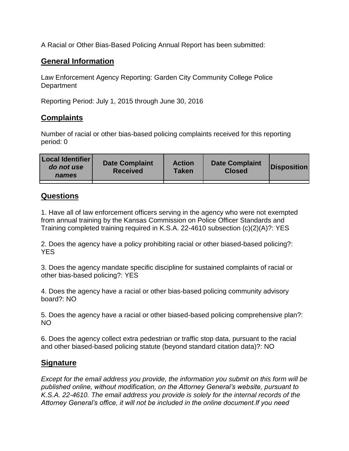A Racial or Other Bias-Based Policing Annual Report has been submitted:

## **General Information**

Law Enforcement Agency Reporting: Garden City Community College Police **Department** 

Reporting Period: July 1, 2015 through June 30, 2016

## **Complaints**

Number of racial or other bias-based policing complaints received for this reporting period: 0

| <b>Local Identifier</b><br>do not use<br>names | <b>Date Complaint</b><br><b>Received</b> | <b>Action</b><br>Taken | <b>Date Complaint</b><br><b>Closed</b> | <b>Disposition</b> |
|------------------------------------------------|------------------------------------------|------------------------|----------------------------------------|--------------------|
|                                                |                                          |                        |                                        |                    |

## **Questions**

1. Have all of law enforcement officers serving in the agency who were not exempted from annual training by the Kansas Commission on Police Officer Standards and Training completed training required in K.S.A. 22-4610 subsection (c)(2)(A)?: YES

2. Does the agency have a policy prohibiting racial or other biased-based policing?: YES

3. Does the agency mandate specific discipline for sustained complaints of racial or other bias-based policing?: YES

4. Does the agency have a racial or other bias-based policing community advisory board?: NO

5. Does the agency have a racial or other biased-based policing comprehensive plan?: NO

6. Does the agency collect extra pedestrian or traffic stop data, pursuant to the racial and other biased-based policing statute (beyond standard citation data)?: NO

## **Signature**

*Except for the email address you provide, the information you submit on this form will be published online, without modification, on the Attorney General's website, pursuant to K.S.A. 22-4610. The email address you provide is solely for the internal records of the Attorney General's office, it will not be included in the online document.If you need*